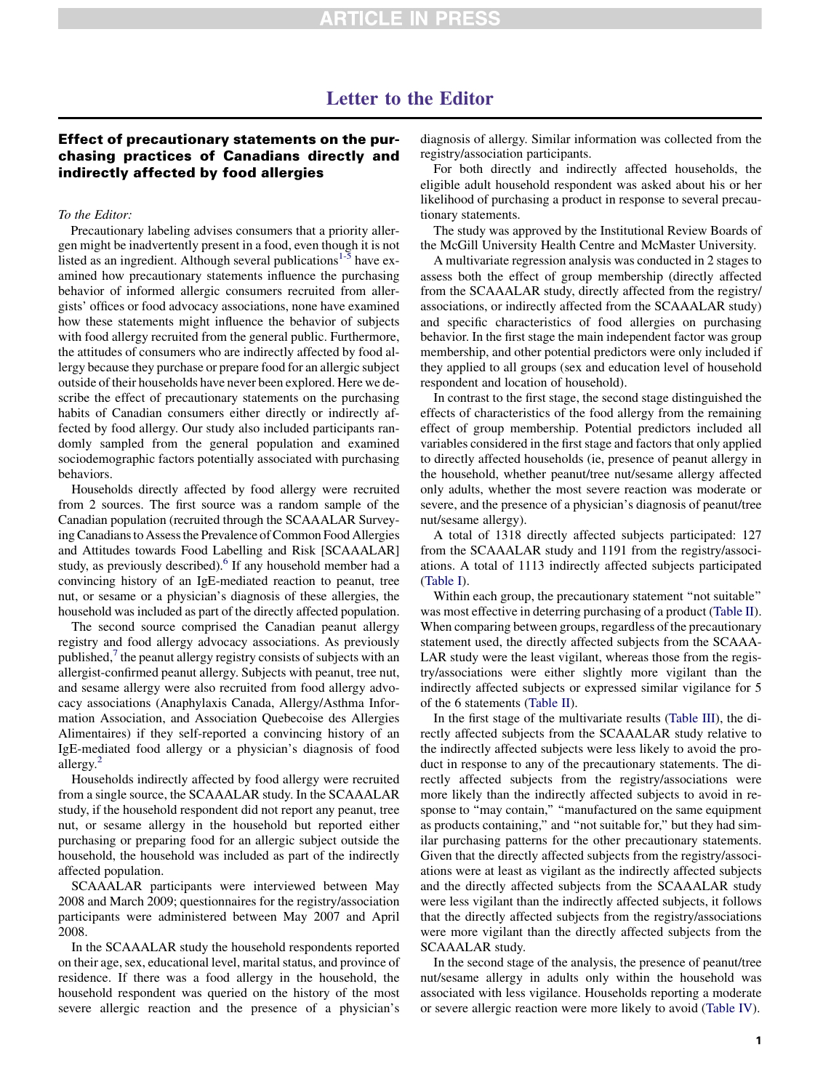# Letter to the Editor

## Effect of precautionary statements on the purchasing practices of Canadians directly and indirectly affected by food allergies

### To the Editor:

Precautionary labeling advises consumers that a priority allergen might be inadvertently present in a food, even though it is not listed as an ingredient. Although several publications $1.5$  have examined how precautionary statements influence the purchasing behavior of informed allergic consumers recruited from allergists' offices or food advocacy associations, none have examined how these statements might influence the behavior of subjects with food allergy recruited from the general public. Furthermore, the attitudes of consumers who are indirectly affected by food allergy because they purchase or prepare food for an allergic subject outside of their households have never been explored. Here we describe the effect of precautionary statements on the purchasing habits of Canadian consumers either directly or indirectly affected by food allergy. Our study also included participants randomly sampled from the general population and examined sociodemographic factors potentially associated with purchasing behaviors.

Households directly affected by food allergy were recruited from 2 sources. The first source was a random sample of the Canadian population (recruited through the SCAAALAR Surveying Canadians to Assess the Prevalence of Common Food Allergies and Attitudes towards Food Labelling and Risk [SCAAALAR] study, as previously described).<sup>6</sup> If any household member had a convincing history of an IgE-mediated reaction to peanut, tree nut, or sesame or a physician's diagnosis of these allergies, the household was included as part of the directly affected population.

The second source comprised the Canadian peanut allergy registry and food allergy advocacy associations. As previously published, $\alpha$ <sup>[7](#page-3-0)</sup> the peanut allergy registry consists of subjects with an allergist-confirmed peanut allergy. Subjects with peanut, tree nut, and sesame allergy were also recruited from food allergy advocacy associations (Anaphylaxis Canada, Allergy/Asthma Information Association, and Association Quebecoise des Allergies Alimentaires) if they self-reported a convincing history of an IgE-mediated food allergy or a physician's diagnosis of food allergy.<sup>[2](#page-3-0)</sup>

Households indirectly affected by food allergy were recruited from a single source, the SCAAALAR study. In the SCAAALAR study, if the household respondent did not report any peanut, tree nut, or sesame allergy in the household but reported either purchasing or preparing food for an allergic subject outside the household, the household was included as part of the indirectly affected population.

SCAAALAR participants were interviewed between May 2008 and March 2009; questionnaires for the registry/association participants were administered between May 2007 and April 2008.

In the SCAAALAR study the household respondents reported on their age, sex, educational level, marital status, and province of residence. If there was a food allergy in the household, the household respondent was queried on the history of the most severe allergic reaction and the presence of a physician's

diagnosis of allergy. Similar information was collected from the registry/association participants.

For both directly and indirectly affected households, the eligible adult household respondent was asked about his or her likelihood of purchasing a product in response to several precautionary statements.

The study was approved by the Institutional Review Boards of the McGill University Health Centre and McMaster University.

A multivariate regression analysis was conducted in 2 stages to assess both the effect of group membership (directly affected from the SCAAALAR study, directly affected from the registry/ associations, or indirectly affected from the SCAAALAR study) and specific characteristics of food allergies on purchasing behavior. In the first stage the main independent factor was group membership, and other potential predictors were only included if they applied to all groups (sex and education level of household respondent and location of household).

In contrast to the first stage, the second stage distinguished the effects of characteristics of the food allergy from the remaining effect of group membership. Potential predictors included all variables considered in the first stage and factors that only applied to directly affected households (ie, presence of peanut allergy in the household, whether peanut/tree nut/sesame allergy affected only adults, whether the most severe reaction was moderate or severe, and the presence of a physician's diagnosis of peanut/tree nut/sesame allergy).

A total of 1318 directly affected subjects participated: 127 from the SCAAALAR study and 1191 from the registry/associations. A total of 1113 indirectly affected subjects participated [\(Table I\)](#page-1-0).

Within each group, the precautionary statement ''not suitable'' was most effective in deterring purchasing of a product [\(Table II](#page-1-0)). When comparing between groups, regardless of the precautionary statement used, the directly affected subjects from the SCAAA-LAR study were the least vigilant, whereas those from the registry/associations were either slightly more vigilant than the indirectly affected subjects or expressed similar vigilance for 5 of the 6 statements ([Table II](#page-1-0)).

In the first stage of the multivariate results [\(Table III\)](#page-2-0), the directly affected subjects from the SCAAALAR study relative to the indirectly affected subjects were less likely to avoid the product in response to any of the precautionary statements. The directly affected subjects from the registry/associations were more likely than the indirectly affected subjects to avoid in response to "may contain," "manufactured on the same equipment as products containing,'' and ''not suitable for,'' but they had similar purchasing patterns for the other precautionary statements. Given that the directly affected subjects from the registry/associations were at least as vigilant as the indirectly affected subjects and the directly affected subjects from the SCAAALAR study were less vigilant than the indirectly affected subjects, it follows that the directly affected subjects from the registry/associations were more vigilant than the directly affected subjects from the SCAAALAR study.

In the second stage of the analysis, the presence of peanut/tree nut/sesame allergy in adults only within the household was associated with less vigilance. Households reporting a moderate or severe allergic reaction were more likely to avoid ([Table IV](#page-2-0)).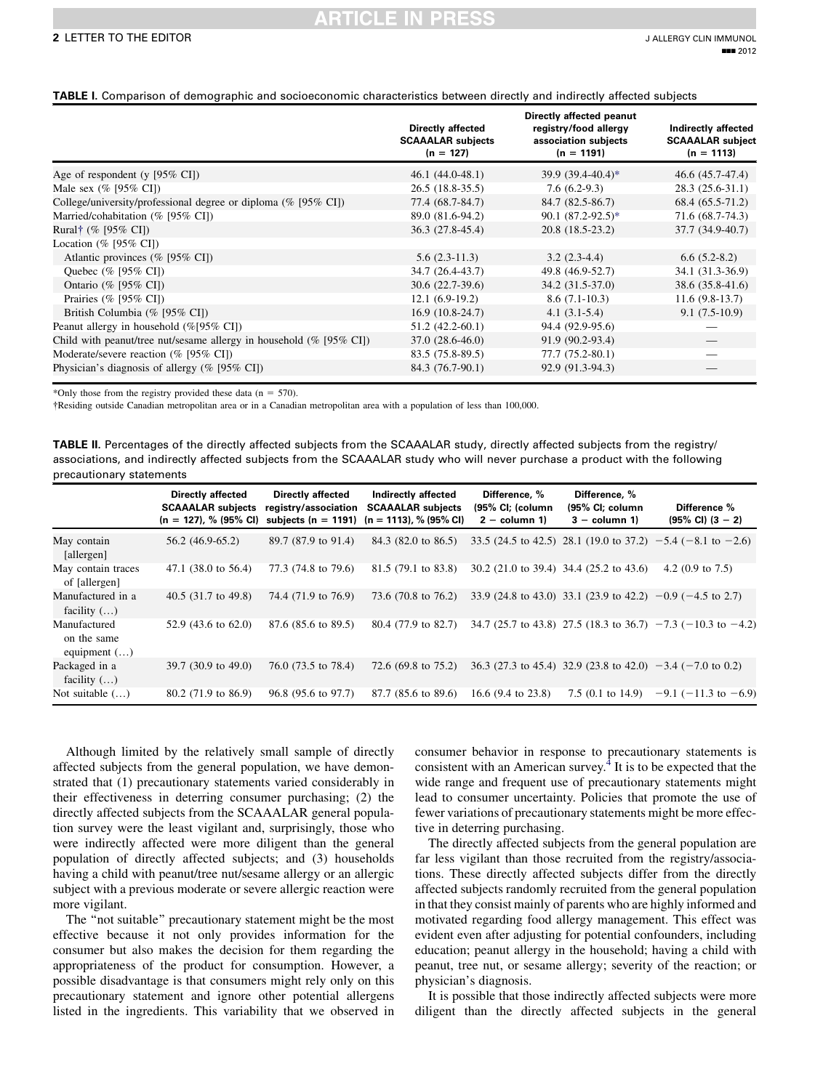## ARTICLE IN PRES

#### <span id="page-1-0"></span>TABLE I. Comparison of demographic and socioeconomic characteristics between directly and indirectly affected subjects

|                                                                         | Directly affected<br><b>SCAAALAR</b> subjects<br>$(n = 127)$ | Directly affected peanut<br>registry/food allergy<br>association subjects<br>$(n = 1191)$ | Indirectly affected<br><b>SCAAALAR</b> subject<br>$(n = 1113)$ |
|-------------------------------------------------------------------------|--------------------------------------------------------------|-------------------------------------------------------------------------------------------|----------------------------------------------------------------|
| Age of respondent (y $[95\% \text{ CI}]$ )                              | $46.1(44.0-48.1)$                                            | $39.9(39.4-40.4)*$                                                                        | 46.6 (45.7-47.4)                                               |
| Male sex $(\%$ [95% CI])                                                | $26.5(18.8-35.5)$                                            | $7.6(6.2-9.3)$                                                                            | $28.3(25.6-31.1)$                                              |
| College/university/professional degree or diploma (% [95% CI])          | 77.4 (68.7-84.7)                                             | 84.7 (82.5-86.7)                                                                          | 68.4 (65.5-71.2)                                               |
| Married/cohabitation (% [95% CI])                                       | 89.0 (81.6-94.2)                                             | $90.1 (87.2 - 92.5)^*$                                                                    | 71.6 (68.7-74.3)                                               |
| Rural† $(\%$ [95% CI])                                                  | 36.3 (27.8-45.4)                                             | $20.8(18.5-23.2)$                                                                         | 37.7 (34.9-40.7)                                               |
| Location (% [95% CI])                                                   |                                                              |                                                                                           |                                                                |
| Atlantic provinces (% [95% CI])                                         | $5.6(2.3-11.3)$                                              | $3.2(2.3-4.4)$                                                                            | $6.6(5.2-8.2)$                                                 |
| Quebec (% [95% CI])                                                     | 34.7 (26.4-43.7)                                             | 49.8 (46.9-52.7)                                                                          | 34.1 (31.3-36.9)                                               |
| Ontario (% [95% CI])                                                    | $30.6(22.7-39.6)$                                            | $34.2(31.5-37.0)$                                                                         | 38.6 (35.8-41.6)                                               |
| Prairies (% [95% CI])                                                   | $12.1(6.9-19.2)$                                             | $8.6(7.1-10.3)$                                                                           | $11.6(9.8-13.7)$                                               |
| British Columbia (% [95% CI])                                           | $16.9(10.8-24.7)$                                            | $4.1(3.1-5.4)$                                                                            | $9.1(7.5-10.9)$                                                |
| Peanut allergy in household (%[95% CI])                                 | $51.2(42.2-60.1)$                                            | 94.4 (92.9-95.6)                                                                          |                                                                |
| Child with peanut/tree nut/sesame allergy in household $(\%$ [95\% CI]) | $37.0(28.6-46.0)$                                            | 91.9 (90.2-93.4)                                                                          |                                                                |
| Moderate/severe reaction (% [95% CI])                                   | 83.5 (75.8-89.5)                                             | 77.7 (75.2-80.1)                                                                          |                                                                |
| Physician's diagnosis of allergy $(\%$ [95% CI])                        | 84.3 (76.7-90.1)                                             | 92.9 (91.3-94.3)                                                                          |                                                                |

\*Only those from the registry provided these data ( $n = 570$ ).

Residing outside Canadian metropolitan area or in a Canadian metropolitan area with a population of less than 100,000.

TABLE II. Percentages of the directly affected subjects from the SCAAALAR study, directly affected subjects from the registry/ associations, and indirectly affected subjects from the SCAAALAR study who will never purchase a product with the following precautionary statements

|                                                     | <b>Directly affected</b><br><b>SCAAALAR subjects</b><br>$(n = 127)$ , % (95% CI) | <b>Directly affected</b><br>registry/association | Indirectly affected<br><b>SCAAALAR</b> subjects<br>subjects (n = 1191) (n = 1113), % (95% CI) | Difference, %<br>(95% CI; (column<br>$2 - column 1$ | Difference, %<br>(95% CI; column<br>$3 - column 1$ | Difference %<br>$(95\% \text{ Cl}) (3 - 2)$                          |
|-----------------------------------------------------|----------------------------------------------------------------------------------|--------------------------------------------------|-----------------------------------------------------------------------------------------------|-----------------------------------------------------|----------------------------------------------------|----------------------------------------------------------------------|
| May contain<br>[allergen]                           | 56.2 (46.9-65.2)                                                                 | 89.7 (87.9 to 91.4)                              | 84.3 (82.0 to 86.5)                                                                           |                                                     |                                                    | 33.5 (24.5 to 42.5) 28.1 (19.0 to 37.2) $-5.4$ ( $-8.1$ to $-2.6$ )  |
| May contain traces<br>of [allergen]                 | 47.1 $(38.0 \text{ to } 56.4)$                                                   | 77.3 (74.8 to 79.6)                              | 81.5 (79.1 to 83.8)                                                                           |                                                     | 30.2 (21.0 to 39.4) 34.4 (25.2 to 43.6)            | 4.2 $(0.9 \text{ to } 7.5)$                                          |
| Manufactured in a<br>facility $(\ldots)$            | 40.5 (31.7 to 49.8)                                                              | 74.4 (71.9 to 76.9)                              | 73.6 (70.8 to 76.2)                                                                           |                                                     |                                                    | 33.9 (24.8 to 43.0) 33.1 (23.9 to 42.2) $-0.9$ ( $-4.5$ to 2.7)      |
| Manufactured<br>on the same<br>equipment $(\ldots)$ | 52.9 $(43.6 \text{ to } 62.0)$                                                   | 87.6 (85.6 to 89.5)                              | 80.4 (77.9 to 82.7)                                                                           |                                                     |                                                    | 34.7 (25.7 to 43.8) 27.5 (18.3 to 36.7) $-7.3$ ( $-10.3$ to $-4.2$ ) |
| Packaged in a<br>facility $(\ldots)$                | 39.7 (30.9 to 49.0)                                                              | 76.0 (73.5 to 78.4)                              | 72.6 $(69.8 \text{ to } 75.2)$                                                                |                                                     |                                                    | 36.3 (27.3 to 45.4) 32.9 (23.8 to 42.0) $-3.4$ ( $-7.0$ to 0.2)      |
| Not suitable $(\ldots)$                             | $80.2$ (71.9 to 86.9)                                                            | 96.8 (95.6 to 97.7)                              | 87.7 (85.6 to 89.6)                                                                           | 16.6 $(9.4 \text{ to } 23.8)$                       | $7.5(0.1 \text{ to } 14.9)$                        | $-9.1$ ( $-11.3$ to $-6.9$ )                                         |

Although limited by the relatively small sample of directly affected subjects from the general population, we have demonstrated that (1) precautionary statements varied considerably in their effectiveness in deterring consumer purchasing; (2) the directly affected subjects from the SCAAALAR general population survey were the least vigilant and, surprisingly, those who were indirectly affected were more diligent than the general population of directly affected subjects; and (3) households having a child with peanut/tree nut/sesame allergy or an allergic subject with a previous moderate or severe allergic reaction were more vigilant.

The "not suitable" precautionary statement might be the most effective because it not only provides information for the consumer but also makes the decision for them regarding the appropriateness of the product for consumption. However, a possible disadvantage is that consumers might rely only on this precautionary statement and ignore other potential allergens listed in the ingredients. This variability that we observed in consumer behavior in response to precautionary statements is consistent with an American survey.<sup>[4](#page-3-0)</sup> It is to be expected that the wide range and frequent use of precautionary statements might lead to consumer uncertainty. Policies that promote the use of fewer variations of precautionary statements might be more effective in deterring purchasing.

The directly affected subjects from the general population are far less vigilant than those recruited from the registry/associations. These directly affected subjects differ from the directly affected subjects randomly recruited from the general population in that they consist mainly of parents who are highly informed and motivated regarding food allergy management. This effect was evident even after adjusting for potential confounders, including education; peanut allergy in the household; having a child with peanut, tree nut, or sesame allergy; severity of the reaction; or physician's diagnosis.

It is possible that those indirectly affected subjects were more diligent than the directly affected subjects in the general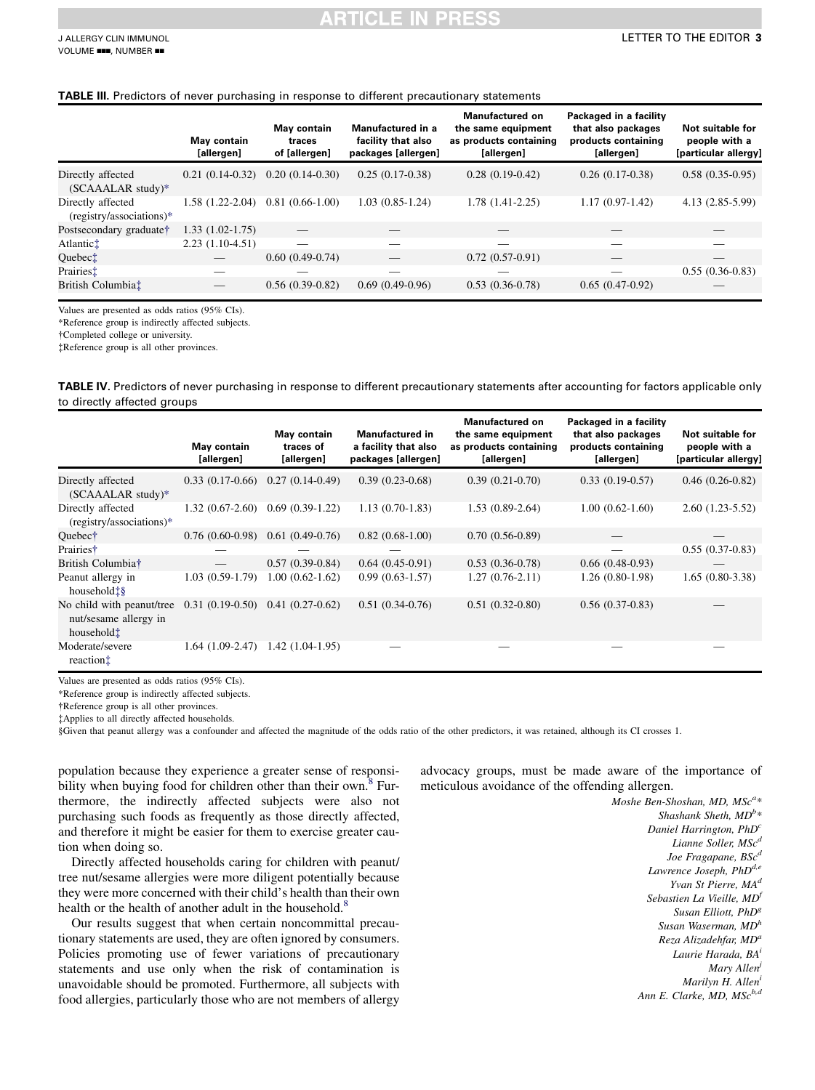#### <span id="page-2-0"></span>TABLE III. Predictors of never purchasing in response to different precautionary statements

|                                                 | May contain<br>[allergen] | May contain<br>traces<br>of [allergen] | Manufactured in a<br>facility that also<br>packages [allergen] | <b>Manufactured on</b><br>the same equipment<br>as products containing<br>[allergen] | Packaged in a facility<br>that also packages<br>products containing<br>[allergen] | Not suitable for<br>people with a<br>[particular allergy] |
|-------------------------------------------------|---------------------------|----------------------------------------|----------------------------------------------------------------|--------------------------------------------------------------------------------------|-----------------------------------------------------------------------------------|-----------------------------------------------------------|
| Directly affected<br>$(SCAAALAR study)*$        | $0.21(0.14-0.32)$         | $0.20(0.14-0.30)$                      | $0.25(0.17-0.38)$                                              | $0.28(0.19-0.42)$                                                                    | $0.26(0.17-0.38)$                                                                 | $0.58(0.35-0.95)$                                         |
| Directly affected<br>$(registry/associations)*$ | 1.58 (1.22-2.04)          | $0.81(0.66-1.00)$                      | $1.03(0.85-1.24)$                                              | 1.78 (1.41-2.25)                                                                     | $1.17(0.97-1.42)$                                                                 | 4.13 (2.85-5.99)                                          |
| Postsecondary graduate†                         | $1.33(1.02-1.75)$         |                                        |                                                                |                                                                                      |                                                                                   |                                                           |
| Atlantic‡                                       | $2.23(1.10-4.51)$         |                                        |                                                                |                                                                                      |                                                                                   |                                                           |
| Quebec <sup>†</sup>                             |                           | $0.60(0.49-0.74)$                      |                                                                | $0.72(0.57-0.91)$                                                                    |                                                                                   |                                                           |
| Prairiest                                       |                           |                                        |                                                                |                                                                                      |                                                                                   | $0.55(0.36-0.83)$                                         |
| British Columbia <sup>†</sup>                   |                           | $0.56(0.39-0.82)$                      | $0.69(0.49-0.96)$                                              | $0.53(0.36-0.78)$                                                                    | $0.65(0.47-0.92)$                                                                 |                                                           |

Values are presented as odds ratios (95% CIs).

\*Reference group is indirectly affected subjects.

Completed college or university.

Reference group is all other provinces.

TABLE IV. Predictors of never purchasing in response to different precautionary statements after accounting for factors applicable only to directly affected groups

|                                                                              | May contain<br>[allergen]           | May contain<br>traces of<br>[allergen] | <b>Manufactured in</b><br>a facility that also<br>packages [allergen] | <b>Manufactured on</b><br>the same equipment<br>as products containing<br>[allergen] | Packaged in a facility<br>that also packages<br>products containing<br>[allergen] | Not suitable for<br>people with a<br>[particular allergy] |
|------------------------------------------------------------------------------|-------------------------------------|----------------------------------------|-----------------------------------------------------------------------|--------------------------------------------------------------------------------------|-----------------------------------------------------------------------------------|-----------------------------------------------------------|
| Directly affected<br>$(SCAAALAR study)*$                                     |                                     | $0.33(0.17-0.66)$ $0.27(0.14-0.49)$    | $0.39(0.23-0.68)$                                                     | $0.39(0.21-0.70)$                                                                    | $0.33(0.19-0.57)$                                                                 | $0.46(0.26-0.82)$                                         |
| Directly affected<br>(registry/associations)*                                | 1.32 (0.67-2.60)                    | $0.69(0.39-1.22)$                      | $1.13(0.70-1.83)$                                                     | $1.53(0.89-2.64)$                                                                    | $1.00(0.62-1.60)$                                                                 | $2.60(1.23-5.52)$                                         |
| Ouebec†                                                                      | $0.76(0.60-0.98)$                   | $0.61(0.49-0.76)$                      | $0.82(0.68-1.00)$                                                     | $0.70(0.56-0.89)$                                                                    |                                                                                   |                                                           |
| Prairies <sup>†</sup>                                                        |                                     |                                        |                                                                       |                                                                                      |                                                                                   | $0.55(0.37-0.83)$                                         |
| British Columbia <sup>†</sup>                                                |                                     | $0.57(0.39-0.84)$                      | $0.64(0.45-0.91)$                                                     | $0.53(0.36-0.78)$                                                                    | $0.66(0.48-0.93)$                                                                 |                                                           |
| Peanut allergy in<br>household <sup>t§</sup>                                 | $1.03(0.59-1.79)$                   | $1.00(0.62 - 1.62)$                    | $0.99(0.63-1.57)$                                                     | $1.27(0.76-2.11)$                                                                    | $1.26(0.80-1.98)$                                                                 | $1.65(0.80-3.38)$                                         |
| No child with peanut/tree<br>nut/sesame allergy in<br>household <sup>†</sup> | $0.31(0.19-0.50)$ $0.41(0.27-0.62)$ |                                        | $0.51(0.34-0.76)$                                                     | $0.51(0.32-0.80)$                                                                    | $0.56(0.37-0.83)$                                                                 |                                                           |
| Moderate/severe<br>reaction                                                  | $1.64(1.09-2.47)$                   | $1.42(1.04-1.95)$                      |                                                                       |                                                                                      |                                                                                   |                                                           |

Values are presented as odds ratios (95% CIs).

\*Reference group is indirectly affected subjects.

Reference group is all other provinces.

Applies to all directly affected households.

§Given that peanut allergy was a confounder and affected the magnitude of the odds ratio of the other predictors, it was retained, although its CI crosses 1.

population because they experience a greater sense of responsibility when buying food for children other than their own.<sup>8</sup> Furthermore, the indirectly affected subjects were also not purchasing such foods as frequently as those directly affected, and therefore it might be easier for them to exercise greater caution when doing so.

Directly affected households caring for children with peanut/ tree nut/sesame allergies were more diligent potentially because they were more concerned with their child's health than their own health or the health of another adult in the household.<sup>[8](#page-3-0)</sup>

Our results suggest that when certain noncommittal precautionary statements are used, they are often ignored by consumers. Policies promoting use of fewer variations of precautionary statements and use only when the risk of contamination is unavoidable should be promoted. Furthermore, all subjects with food allergies, particularly those who are not members of allergy advocacy groups, must be made aware of the importance of meticulous avoidance of the offending allergen.

> Moshe Ben-Shoshan, MD,  $MSc^{a*}$ Shashank Sheth,  $MD^{b*}$ Daniel Harrington, PhD<sup>c</sup> Lianne Soller, MSc<sup>d</sup> Joe Fragapane, BSc<sup>d</sup> Lawrence Joseph,  $PhD^{d,e}$ Yvan St Pierre, MA<sup>d</sup> Sebastien La Vieille, MDf Susan Elliott, PhD<sup>g</sup> Susan Waserman,  $MD<sup>h</sup>$ Reza Alizadehfar, MD<sup>a</sup> Laurie Harada, BA<sup>i</sup> Mary Allen<sup>j</sup> Marilyn H. Allen<sup>i</sup> Ann E. Clarke, MD,  $MSc^{b,d}$